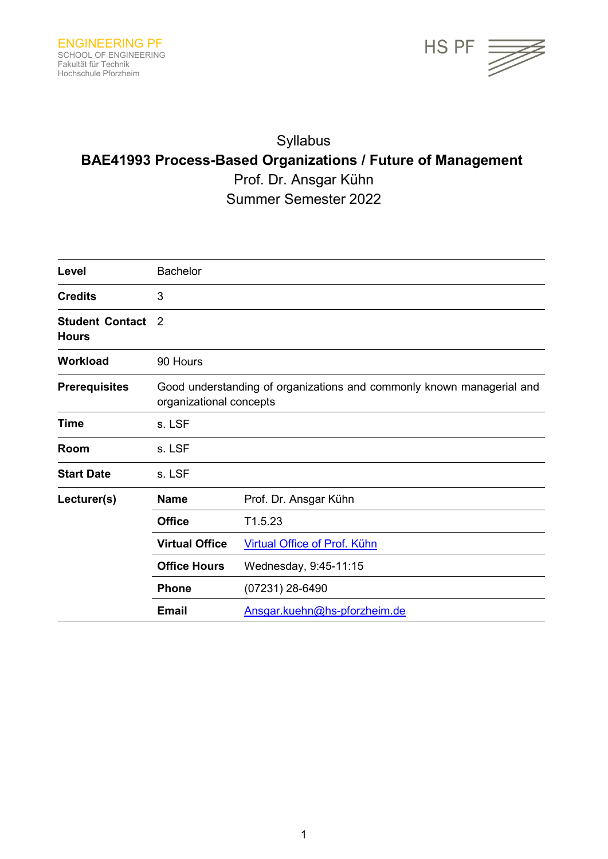

# Syllabus **BAE41993 Process-Based Organizations / Future of Management** Prof. Dr. Ansgar Kühn Summer Semester 2022

Level **Bachelor Credits** 3 **Student Contact**  2 **Hours** Workload 90 Hours **Prerequisites** Good understanding of organizations and commonly known managerial and organizational concepts **Time** s. LSF **Room** s. LSF **Start Date** s. LSF **Lecturer(s) Name** Prof. Dr. Ansgar Kühn **Office** T1.5.23 Virtual Office **Virtual Office of Prof. Kühn Office Hours** Wednesday, 9:45-11:15 **Phone** (07231) 28-6490 **Email** [Ansgar.kuehn@hs-pforzheim.de](mailto:Ansgar.kuehn@hs-pforzheim.de)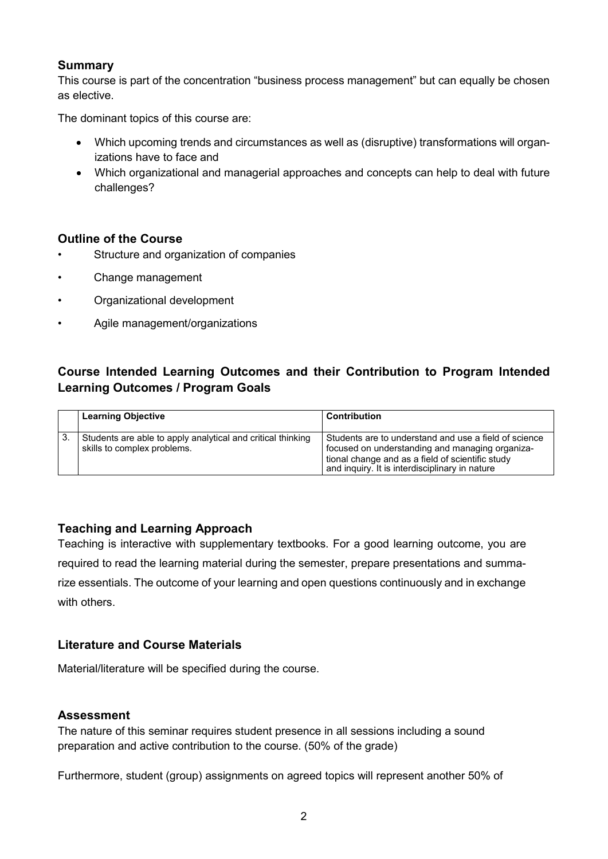### **Summary**

This course is part of the concentration "business process management" but can equally be chosen as elective.

The dominant topics of this course are:

- Which upcoming trends and circumstances as well as (disruptive) transformations will organizations have to face and
- Which organizational and managerial approaches and concepts can help to deal with future challenges?

### **Outline of the Course**

- Structure and organization of companies
- Change management
- Organizational development
- Agile management/organizations

## **Course Intended Learning Outcomes and their Contribution to Program Intended Learning Outcomes / Program Goals**

| <b>Learning Objective</b>                                                                  | <b>Contribution</b>                                                                                                                                                                                            |
|--------------------------------------------------------------------------------------------|----------------------------------------------------------------------------------------------------------------------------------------------------------------------------------------------------------------|
| Students are able to apply analytical and critical thinking<br>skills to complex problems. | Students are to understand and use a field of science<br>focused on understanding and managing organiza-<br>tional change and as a field of scientific study<br>and inquiry. It is interdisciplinary in nature |

## **Teaching and Learning Approach**

Teaching is interactive with supplementary textbooks. For a good learning outcome, you are required to read the learning material during the semester, prepare presentations and summarize essentials. The outcome of your learning and open questions continuously and in exchange with others.

### **Literature and Course Materials**

Material/literature will be specified during the course.

### **Assessment**

The nature of this seminar requires student presence in all sessions including a sound preparation and active contribution to the course. (50% of the grade)

Furthermore, student (group) assignments on agreed topics will represent another 50% of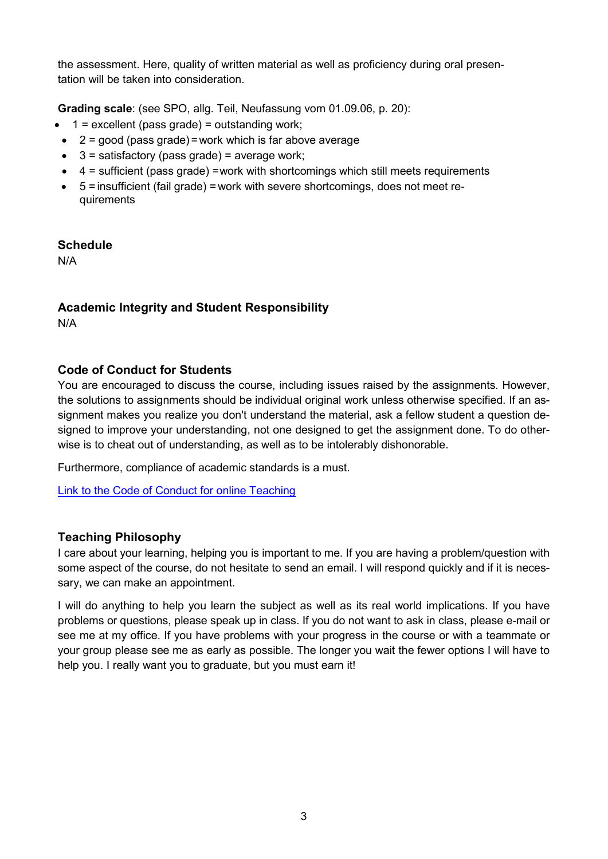the assessment. Here, quality of written material as well as proficiency during oral presentation will be taken into consideration.

**Grading scale**: (see SPO, allg. Teil, Neufassung vom 01.09.06, p. 20):

- $\bullet$  1 = excellent (pass grade) = outstanding work;
- $\bullet$  2 = good (pass grade) = work which is far above average
- $\bullet$  3 = satisfactory (pass grade) = average work;
- $\bullet$  4 = sufficient (pass grade) =work with shortcomings which still meets requirements
- 5 =insufficient (fail grade) =work with severe shortcomings, does not meet requirements

## **Schedule**

N/A

# **Academic Integrity and Student Responsibility**

N/A

## **Code of Conduct for Students**

You are encouraged to discuss the course, including issues raised by the assignments. However, the solutions to assignments should be individual original work unless otherwise specified. If an assignment makes you realize you don't understand the material, ask a fellow student a question designed to improve your understanding, not one designed to get the assignment done. To do otherwise is to cheat out of understanding, as well as to be intolerably dishonorable.

Furthermore, compliance of academic standards is a must.

[Link to the Code of Conduct for online Teaching](https://e-campus.hs-pforzheim.de/business_pf/digital_learning_tools_links)

## **Teaching Philosophy**

I care about your learning, helping you is important to me. If you are having a problem/question with some aspect of the course, do not hesitate to send an email. I will respond quickly and if it is necessary, we can make an appointment.

I will do anything to help you learn the subject as well as its real world implications. If you have problems or questions, please speak up in class. If you do not want to ask in class, please e-mail or see me at my office. If you have problems with your progress in the course or with a teammate or your group please see me as early as possible. The longer you wait the fewer options I will have to help you. I really want you to graduate, but you must earn it!